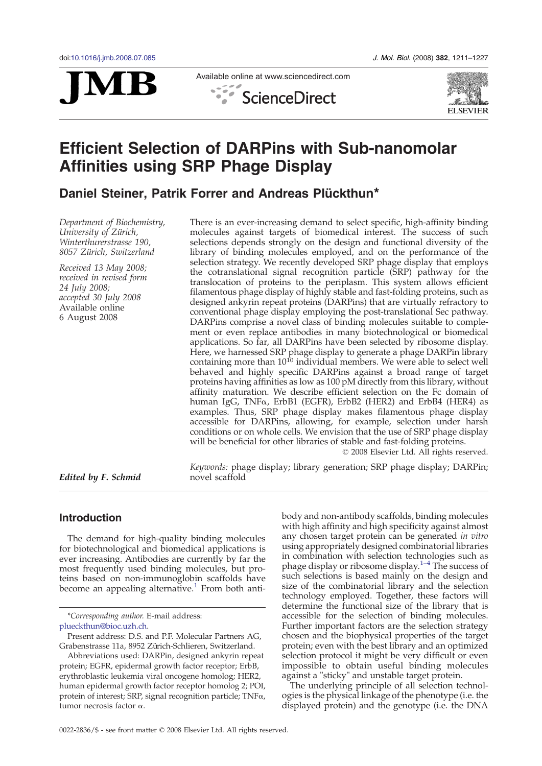



Available online at www.sciencedirect.com  $\bullet$ **ScienceDirect** 



# Efficient Selection of DARPins with Sub-nanomolar Affinities using SRP Phage Display

## Daniel Steiner, Patrik Forrer and Andreas Plückthun<sup>\*</sup>

Department of Biochemistry, University of Zürich, Winterthurerstrasse 190, 8057 Zürich, Switzerland

Received 13 May 2008; received in revised form 24 July 2008; accepted 30 July 2008 Available online 6 August 2008

There is an ever-increasing demand to select specific, high-affinity binding molecules against targets of biomedical interest. The success of such selections depends strongly on the design and functional diversity of the library of binding molecules employed, and on the performance of the selection strategy. We recently developed SRP phage display that employs the cotranslational signal recognition particle (SRP) pathway for the translocation of proteins to the periplasm. This system allows efficient filamentous phage display of highly stable and fast-folding proteins, such as designed ankyrin repeat proteins (DARPins) that are virtually refractory to conventional phage display employing the post-translational Sec pathway. DARPins comprise a novel class of binding molecules suitable to complement or even replace antibodies in many biotechnological or biomedical applications. So far, all DARPins have been selected by ribosome display. Here, we harnessed SRP phage display to generate a phage DARPin library containing more than  $10^{10}$  individual members. We were able to select well behaved and highly specific DARPins against a broad range of target proteins having affinities as low as 100 pM directly from this library, without affinity maturation. We describe efficient selection on the Fc domain of human IgG, TNFα, ErbB1 (EGFR), ErbB2 (HER2) and ErbB4 (HER4) as examples. Thus, SRP phage display makes filamentous phage display accessible for DARPins, allowing, for example, selection under harsh conditions or on whole cells. We envision that the use of SRP phage display will be beneficial for other libraries of stable and fast-folding proteins.

© 2008 Elsevier Ltd. All rights reserved.

Edited by F. Schmid

Keywords: phage display; library generation; SRP phage display; DARPin; novel scaffold

## Introduction

The demand for high-quality binding molecules for biotechnological and biomedical applications is ever increasing. Antibodies are currently by far the most frequently used binding molecules, but proteins based on non-immunoglobin scaffolds have become an appealing alternative.<sup>[1](#page-15-0)</sup> From both antibody and non-antibody scaffolds, binding molecules with high affinity and high specificity against almost any chosen target protein can be generated in vitro using appropriately designed combinatorial libraries in combination with selection tec[hno](#page-15-0)logies such as<br>phage display or ribosome display[.](#page-15-0)<sup>1–4</sup> The success of such selections is based mainly on the design and size of the combinatorial library and the selection technology employed. Together, these factors will determine the functional size of the library that is accessible for the selection of binding molecules. Further important factors are the selection strategy chosen and the biophysical properties of the target protein; even with the best library and an optimized selection protocol it might be very difficult or even impossible to obtain useful binding molecules against a "sticky" and unstable target protein.

The underlying principle of all selection technologies is the physical linkage of the phenotype (i.e. the displayed protein) and the genotype (i.e. the DNA

<sup>\*</sup>Corresponding author. E-mail address: plueckthun@bioc.uzh.ch.

Present address: D.S. and P.F. Molecular Partners AG, Grabenstrasse 11a, 8952 Zürich-Schlieren, Switzerland.

Abbreviations used: DARPin, designed ankyrin repeat protein; EGFR, epidermal growth factor receptor; ErbB, erythroblastic leukemia viral oncogene homolog; HER2, human epidermal growth factor receptor homolog 2; POI, protein of interest; SRP, signal recognition particle; TNFα, tumor necrosis factor α.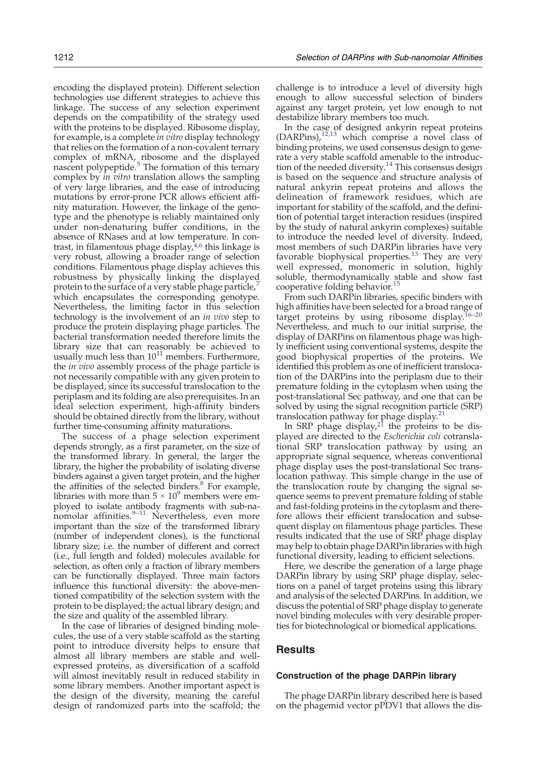encoding the displayed protein). Different selection technologies use different strategies to achieve this linkage. The success of any selection experiment depends on the compatibility of the strategy used with the proteins to be displayed. Ribosome display, for example, is a complete in vitro display technology that relies on the formation of a non-covalent ternary complex of mRNA, ribosome and the displayed nascent polypeptide.<sup>[5](#page-15-0)</sup> The formation of this ternary complex by in vitro translation allows the sampling of very large libraries, and the ease of introducing mutations by error-prone PCR allows efficient affinity maturation. However, the linkage of the genotype and the phenotype is reliably maintained only under non-denaturing buffer conditions, in the absence of RNases and at low temperature. In contrast, in filamentous phage display, $4/6$  this linkage is very robust, allowing a broader range of selection conditions. Filamentous phage display achieves this robustness by physically linking the displayed protein to the surface of a very stable phage particle,<sup>[7](#page-15-0)</sup> which encapsulates the corresponding genotype. Nevertheless, the limiting factor in this selection technology is the involvement of an in vivo step to produce the protein displaying phage particles. The bacterial transformation needed therefore limits the library size that can reasonably be achieved to usually much less than  $10^{11}$  members. Furthermore, the in vivo assembly process of the phage particle is not necessarily compatible with any given protein to be displayed, since its successful translocation to the periplasm and its folding are also prerequisites. In an ideal selection experiment, high-affinity binders should be obtained directly from the library, without further time-consuming affinity maturations.

The success of a phage selection experiment depends strongly, as a first parameter, on the size of the transformed library. In general, the larger the library, the higher the probability of isolating diverse binders against a given target protein, and the higher the affinities of the selected binders. $8$  For example, libraries with more than  $5 \times 10^9$  members were employed to isolate a[ntibo](#page-15-0)dy fragments with sub-na-<br>nomolar affinities.<sup>9–11</sup> Nevertheless, even more important than the size of the transformed library (number of independent clones), is the functional library size; i.e. the number of different and correct (i.e., full length and folded) molecules available for selection, as often only a fraction of library members can be functionally displayed. Three main factors influence this functional diversity: the above-mentioned compatibility of the selection system with the protein to be displayed; the actual library design; and the size and quality of the assembled library.

In the case of libraries of designed binding molecules, the use of a very stable scaffold as the starting point to introduce diversity helps to ensure that almost all library members are stable and wellexpressed proteins, as diversification of a scaffold will almost inevitably result in reduced stability in some library members. Another important aspect is the design of the diversity, meaning the careful design of randomized parts into the scaffold; the

challenge is to introduce a level of diversity high enough to allow successful selection of binders against any target protein, yet low enough to not destabilize library members too much.

In the case of designed ankyrin repeat proteins  $(DARPins)<sup>12,13</sup>$  $(DARPins)<sup>12,13</sup>$  $(DARPins)<sup>12,13</sup>$  which comprise a novel class of binding proteins, we used consensus design to generate a very stable scaffold amenable to the introduc-tion of the needed diversity.<sup>[14](#page-15-0)</sup> This consensus design is based on the sequence and structure analysis of natural ankyrin repeat proteins and allows the delineation of framework residues, which are important for stability of the scaffold, and the definition of potential target interaction residues (inspired by the study of natural ankyrin complexes) suitable to introduce the needed level of diversity. Indeed, most members of such DARPin libraries have very favorable biophysical properties.<sup>[13](#page-15-0)</sup> They are very well expressed, monomeric in solution, highly soluble, thermodynamically stable and show fast cooperative folding behavior.<sup>[15](#page-15-0)</sup>

From such DARPin libraries, specific binders with high affinities have been selected for a broad range of target proteins by using ribosome display[.](#page-15-0)<sup>16-[20](#page-15-0)</sup> Nevertheless, and much to our initial surprise, the display of DARPins on filamentous phage was highly inefficient using conventional systems, despite the good biophysical properties of the proteins. We identified this problem as one of inefficient translocation of the DARPins into the periplasm due to their premature folding in the cytoplasm when using the post-translational Sec pathway, and one that can be solved by using the signal recognition particle (SRP) translocation pathway for phage display[.](#page-16-0) $21$ 

In SRP phage display, $2^1$  the proteins to be displayed are directed to the Escherichia coli cotranslational SRP translocation pathway by using an appropriate signal sequence, whereas conventional phage display uses the post-translational Sec translocation pathway. This simple change in the use of the translocation route by changing the signal sequence seems to prevent premature folding of stable and fast-folding proteins in the cytoplasm and therefore allows their efficient translocation and subsequent display on filamentous phage particles. These results indicated that the use of SRP phage display may help to obtain phage DARPin libraries with high functional diversity, leading to efficient selections.

Here, we describe the generation of a large phage DARPin library by using SRP phage display, selections on a panel of target proteins using this library and analysis of the selected DARPins. In addition, we discuss the potential of SRP phage display to generate novel binding molecules with very desirable properties for biotechnological or biomedical applications.

## **Results**

#### Construction of the phage DARPin library

The phage DARPin library described here is based on the phagemid vector pPDV1 that allows the dis-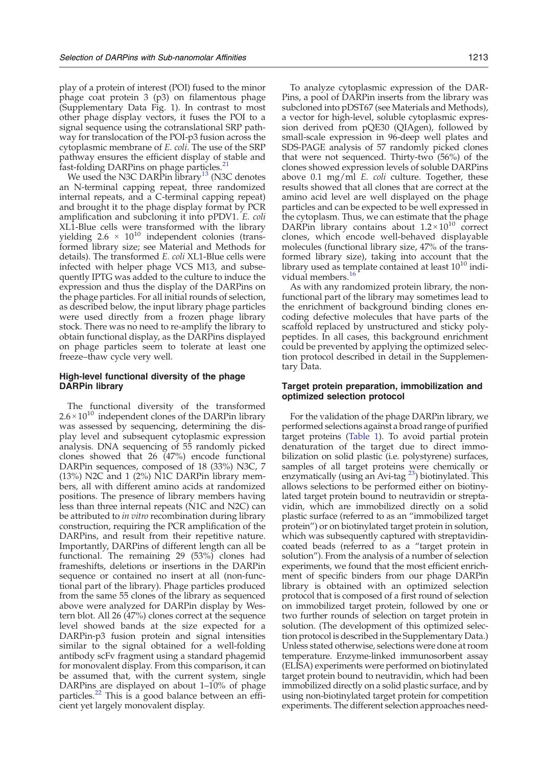play of a protein of interest (POI) fused to the minor phage coat protein 3 (p3) on filamentous phage (Supplementary Data Fig. 1). In contrast to most other phage display vectors, it fuses the POI to a signal sequence using the cotranslational SRP pathway for translocation of the POI-p3 fusion across the cytoplasmic membrane of E. coli. The use of the SRP pathway ensures the efficient display of stable and fast-folding DARPins on phage particles.<sup>[21](#page-16-0)</sup>

We used the N3C DARPin librar[y](#page-15-0)<sup>[13](#page-15-0)</sup> (N3C denotes an N-terminal capping repeat, three randomized internal repeats, and a C-terminal capping repeat) and brought it to the phage display format by PCR amplification and subcloning it into pPDV1. E. coli XL1-Blue cells were transformed with the library yielding  $2.6 \times 10^{10}$  independent colonies (transformed library size; see Material and Methods for details). The transformed E. coli XL1-Blue cells were infected with helper phage VCS M13, and subsequently IPTG was added to the culture to induce the expression and thus the display of the DARPins on the phage particles. For all initial rounds of selection, as described below, the input library phage particles were used directly from a frozen phage library stock. There was no need to re-amplify the library to obtain functional display, as the DARPins displayed on phage particles seem to tolerate at least one freeze–thaw cycle very well.

## High-level functional diversity of the phage DARPin library

The functional diversity of the transformed  $2.6 \times 10^{10}$  independent clones of the DARPin library was assessed by sequencing, determining the display level and subsequent cytoplasmic expression analysis. DNA sequencing of 55 randomly picked clones showed that 26 (47%) encode functional DARPin sequences, composed of 18 (33%) N3C, 7 (13%) N2C and 1 (2%) N1C DARPin library members, all with different amino acids at randomized positions. The presence of library members having less than three internal repeats (N1C and N2C) can be attributed to *in vitro* recombination during library construction, requiring the PCR amplification of the DARPins, and result from their repetitive nature. Importantly, DARPins of different length can all be functional. The remaining 29 (53%) clones had frameshifts, deletions or insertions in the DARPin sequence or contained no insert at all (non-functional part of the library). Phage particles produced from the same 55 clones of the library as sequenced above were analyzed for DARPin display by Western blot. All 26 (47%) clones correct at the sequence level showed bands at the size expected for a DARPin-p3 fusion protein and signal intensities similar to the signal obtained for a well-folding antibody scFv fragment using a standard phagemid for monovalent display. From this comparison, it can be assumed that, with the current system, single DARPins are displayed on about 1–10% of phage particles.<sup>[22](#page-16-0)</sup> This is a good balance between an efficient yet largely monovalent display.

To analyze cytoplasmic expression of the DAR-Pins, a pool of DARPin inserts from the library was subcloned into pDST67 (see Materials and Methods), a vector for high-level, soluble cytoplasmic expression derived from pQE30 (QIAgen), followed by small-scale expression in 96-deep well plates and SDS-PAGE analysis of 57 randomly picked clones that were not sequenced. Thirty-two (56%) of the clones showed expression levels of soluble DARPins above 0.1 mg/ml  $E$ . *coli* culture. Together, these results showed that all clones that are correct at the amino acid level are well displayed on the phage particles and can be expected to be well expressed in the cytoplasm. Thus, we can estimate that the phage DARPin library contains about  $1.2 \times 10^{10}$  correct clones, which encode well-behaved displayable molecules (functional library size, 47% of the transformed library size), taking into account that the library used as template contained at least  $10^{10}$  indi-vidual members[.](#page-15-0)<sup>[16](#page-15-0)</sup>

As with any randomized protein library, the nonfunctional part of the library may sometimes lead to the enrichment of background binding clones encoding defective molecules that have parts of the scaffold replaced by unstructured and sticky polypeptides. In all cases, this background enrichment could be prevented by applying the optimized selection protocol described in detail in the Supplementary Data.

## Target protein preparation, immobilization and optimized selection protocol

For the validation of the phage DARPin library, we performed selections against a broad range of purified target proteins [\(Table 1](#page-3-0)). To avoid partial protein denaturation of the target due to direct immobilization on solid plastic (i.e. polystyrene) surfaces, samples of all target proteins were chemically or enzymatically (using an Avi-tag  $^{23}$  $^{23}$  $^{23}$ ) biotinylated. This allows selections to be performed either on biotinylated target protein bound to neutravidin or streptavidin, which are immobilized directly on a solid plastic surface (referred to as an "immobilized target protein") or on biotinylated target protein in solution, which was subsequently captured with streptavidincoated beads (referred to as a "target protein in solution"). From the analysis of a number of selection experiments, we found that the most efficient enrichment of specific binders from our phage DARPin library is obtained with an optimized selection protocol that is composed of a first round of selection on immobilized target protein, followed by one or two further rounds of selection on target protein in solution. (The development of this optimized selection protocol is described in the Supplementary Data.) Unless stated otherwise, selections were done at room temperature. Enzyme-linked immunosorbent assay (ELISA) experiments were performed on biotinylated target protein bound to neutravidin, which had been immobilized directly on a solid plastic surface, and by using non-biotinylated target protein for competition experiments. The different selection approaches need-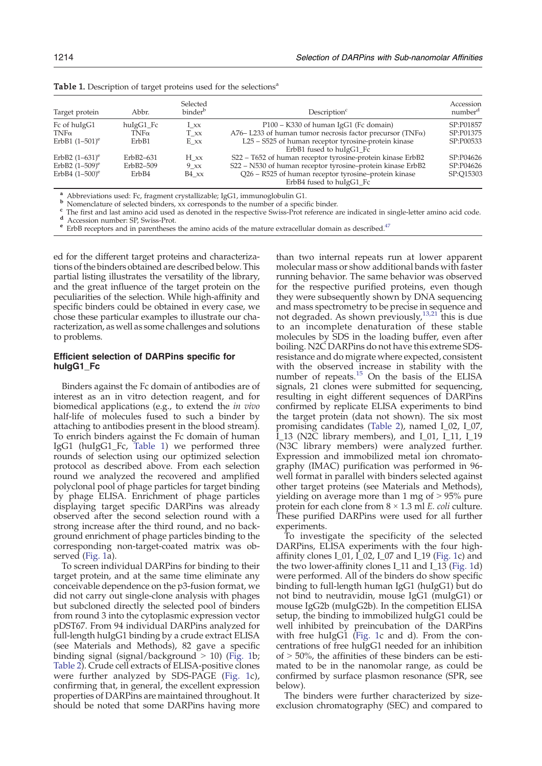| Target protein    | Abbr.       | Selected<br>binder <sup>b</sup> | Description <sup>c</sup>                                                         | Accession<br>number <sup>d</sup> |
|-------------------|-------------|---------------------------------|----------------------------------------------------------------------------------|----------------------------------|
| Fc of huIgG1      | huIgG1_Fc   | I xx                            | P100 – K330 of human IgG1 (Fc domain)                                            | SP:P01857                        |
| $TNF\alpha$       | $TNF\alpha$ | T xx                            | A76– L233 of human tumor necrosis factor precursor (TNF $\alpha$ )               | SP:P01375                        |
| ErbB1 $(1-501)^e$ | ErbB1       | E xx                            | L25 - S525 of human receptor tyrosine-protein kinase<br>ErbB1 fused to huIgG1_Fc | SP:P00533                        |
| ErbB2 $(1-631)^e$ | $ErbB2-631$ | H xx                            | S22 – T652 of human receptor tyrosine-protein kinase ErbB2                       | SP:P04626                        |
| ErbB2 $(1-509)^e$ | $ErbB2-509$ | $9 \times x$                    | S22 – N530 of human receptor tyrosine–protein kinase ErbB2                       | SP:P04626                        |
| ErbB4 $(1-500)^e$ | ErbB4       | B4 xx                           | Q26 – R525 of human receptor tyrosine–protein kinase<br>ErbB4 fused to huIgG1_Fc | SP:O15303                        |

<span id="page-3-0"></span>Table 1. Description of target proteins used for the selections<sup>a</sup>

 $\footnotesize\ensuremath{\stackrel{\text{a}}{~}}$  Abbreviations used: Fc, fragment crystallizable; IgG1, immunoglobulin G1.<br>  $\footnotesize\ensuremath{\stackrel{\text{a}}{~}}$  Nomenclature of selected binders, xx corresponds to the number of a specific binder.<br>  $\footnotesize\ensuremath{\stackrel{\text{c}}{~$ 

ed for the different target proteins and characterizations of the binders obtained are described below. This partial listing illustrates the versatility of the library, and the great influence of the target protein on the peculiarities of the selection. While high-affinity and specific binders could be obtained in every case, we chose these particular examples to illustrate our characterization, as well as some challenges and solutions to problems.

## Efficient selection of DARPins specific for huIgG1\_Fc

Binders against the Fc domain of antibodies are of interest as an in vitro detection reagent, and for biomedical applications (e.g., to extend the in vivo half-life of molecules fused to such a binder by attaching to antibodies present in the blood stream). To enrich binders against the Fc domain of human IgG1 (huIgG1\_Fc, Table 1) we performed three rounds of selection using our optimized selection protocol as described above. From each selection round we analyzed the recovered and amplified polyclonal pool of phage particles for target binding by phage ELISA. Enrichment of phage particles displaying target specific DARPins was already observed after the second selection round with a strong increase after the third round, and no background enrichment of phage particles binding to the corresponding non-target-coated matrix was observed ([Fig. 1a](#page-4-0)).

To screen individual DARPins for binding to their target protein, and at the same time eliminate any conceivable dependence on the p3-fusion format, we did not carry out single-clone analysis with phages but subcloned directly the selected pool of binders from round 3 into the cytoplasmic expression vector pDST67. From 94 individual DARPins analyzed for full-length huIgG1 binding by a crude extract ELISA (see Materials and Methods), 82 gave a specific binding signal (signal/background  $> 10$ ) ([Fig. 1b](#page-4-0); [Table 2](#page-5-0)). Crude cell extracts of ELISA-positive clones were further analyzed by SDS-PAGE ([Fig. 1](#page-4-0)c), confirming that, in general, the excellent expression properties of DARPins are maintained throughout. It should be noted that some DARPins having more

than two internal repeats run at lower apparent molecular mass or show additional bands with faster running behavior. The same behavior was observed for the respective purified proteins, even though they were subsequently shown by DNA sequencing and mass spectrometry to be precise in sequence and not degraded. As shown previously,[13,21](#page-15-0) this is due to an incomplete denaturation of these stable molecules by SDS in the loading buffer, even after boiling. N2C DARPins do not have this extreme SDSresistance and do migrate where expected, consistent with the observed increase in stability with the number of repeats.<sup>[15](#page-15-0)</sup> On the basis of the ELISA signals, 21 clones were submitted for sequencing, resulting in eight different sequences of DARPins confirmed by replicate ELISA experiments to bind the target protein (data not shown). The six most promising candidates [\(Table 2\)](#page-5-0), named I\_02, I\_07,  $\overline{L}$ 13 (N2C library members), and I\_01, I\_11, I\_19 (N3C library members) were analyzed further. Expression and immobilized metal ion chromatography (IMAC) purification was performed in 96 well format in parallel with binders selected against other target proteins (see Materials and Methods), yielding on average more than 1 mg of  $> 95\%$  pure protein for each clone from  $8 \times 1.3$  ml *E. coli* culture. These purified DARPins were used for all further experiments.

To investigate the specificity of the selected DARPins, ELISA experiments with the four highaffinity clones  $I_01$ ,  $I_02$ ,  $I_07$  and  $I_19$  [\(Fig. 1](#page-4-0)c) and the two lower-affinity clones  $I_1$ 1 and  $I_1$ 13 ([Fig. 1d](#page-4-0)) were performed. All of the binders do show specific binding to full-length human IgG1 (huIgG1) but do not bind to neutravidin, mouse IgG1 (muIgG1) or mouse IgG2b (muIgG2b). In the competition ELISA setup, the binding to immobilized huIgG1 could be well inhibited by preincubation of the DARPins with free huIgG1 ([Fig. 1](#page-4-0)c and d). From the concentrations of free huIgG1 needed for an inhibition of  $>$  50%, the affinities of these binders can be estimated to be in the nanomolar range, as could be confirmed by surface plasmon resonance (SPR, see below).

The binders were further characterized by sizeexclusion chromatography (SEC) and compared to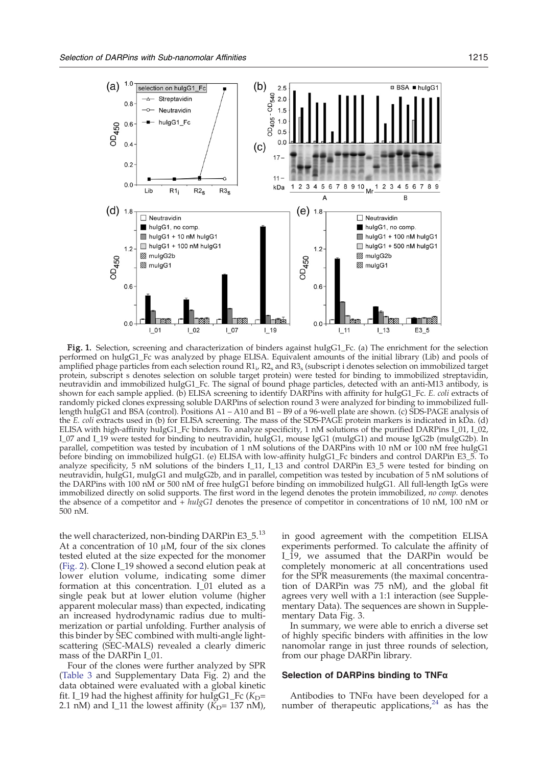<span id="page-4-0"></span>

Fig. 1. Selection, screening and characterization of binders against huIgG1\_Fc. (a) The enrichment for the selection performed on huIgG1\_Fc was analyzed by phage ELISA. Equivalent amounts of the initial library (Lib) and pools of amplified phage particles from each selection round  $R1_i$ ,  $R2_s$  and  $R3_s$  (subscript i denotes selection on immobilized target protein, subscript s denotes selection on soluble target protein) were tested for binding to immobilized streptavidin, neutravidin and immobilized huIgG1\_Fc. The signal of bound phage particles, detected with an anti-M13 antibody, is shown for each sample applied. (b) ELISA screening to identify DARPins with affinity for huIgG1\_Fc. E. coli extracts of randomly picked clones expressing soluble DARPins of selection round 3 were analyzed for binding to immobilized fulllength huIgG1 and BSA (control). Positions A1 – A10 and B1 – B9 of a 96-well plate are shown. (c) SDS-PAGE analysis of the E. coli extracts used in (b) for ELISA screening. The mass of the SDS-PAGE protein markers is indicated in kDa. (d) ELISA with high-affinity huIgG1\_Fc binders. To analyze specificity, 1 nM solutions of the purified DARPins I\_01, I\_02, I\_07 and I\_19 were tested for binding to neutravidin, huIgG1, mouse IgG1 (muIgG1) and mouse IgG2b (muIgG2b). In parallel, competition was tested by incubation of 1 nM solutions of the DARPins with 10 nM or 100 nM free huIgG1 before binding on immobilized huIgG1. (e) ELISA with low-affinity huIgG1\_Fc binders and control DARPin E3\_5. To analyze specificity, 5 nM solutions of the binders I\_11, I\_13 and control DARPin E3\_5 were tested for binding on neutravidin, huIgG1, muIgG1 and muIgG2b, and in parallel, competition was tested by incubation of 5 nM solutions of the DARPins with 100 nM or 500 nM of free huIgG1 before binding on immobilized huIgG1. All full-length IgGs were immobilized directly on solid supports. The first word in the legend denotes the protein immobilized, no comp. denotes the absence of a competitor and  $+ hulgG1$  denotes the presence of competitor in concentrations of 10 nM, 100 nM or 500 nM.

the well characterized, non-binding DARPin E3 $\,$  5.<sup>13</sup> At a concentration of 10 μM, four of the six clones tested eluted at the size expected for the monomer [\(Fig. 2](#page-5-0)). Clone I\_19 showed a second elution peak at lower elution volume, indicating some dimer formation at this concentration. I\_01 eluted as a single peak but at lower elution volume (higher apparent molecular mass) than expected, indicating an increased hydrodynamic radius due to multimerization or partial unfolding. Further analysis of this binder by SEC combined with multi-angle lightscattering (SEC-MALS) revealed a clearly dimeric mass of the DARPin I\_01.

Four of the clones were further analyzed by SPR [\(Table 3](#page-6-0) and Supplementary Data Fig. 2) and the data obtained were evaluated with a global kinetic fit. I\_19 had the highest affinity for huIgG1\_Fc ( $K<sub>D</sub>$ = 2.1 nM) and I\_11 the lowest affinity  $(K_D = 137 \text{ nM})$ ,

in good agreement with the competition ELISA experiments performed. To calculate the affinity of I\_19, we assumed that the DARPin would be completely monomeric at all concentrations used for the SPR measurements (the maximal concentration of DARPin was 75 nM), and the global fit agrees very well with a 1:1 interaction (see Supplementary Data). The sequences are shown in Supplementary Data Fig. 3.

In summary, we were able to enrich a diverse set of highly specific binders with affinities in the low nanomolar range in just three rounds of selection, from our phage DARPin library.

#### Selection of DARPins binding to TNFα

Antibodies to TNFα have been developed for a number of therapeutic applications, $24$  as has the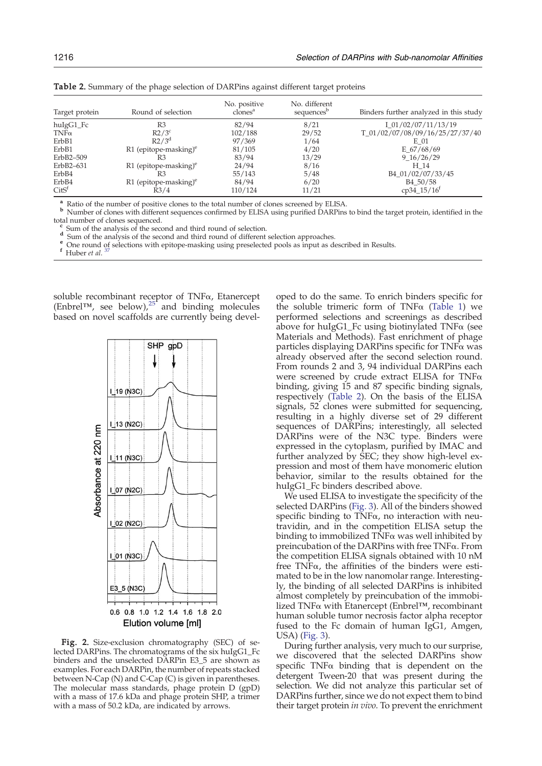| Target protein    | Round of selection                  | No. positive<br>clones <sup>a</sup> | No. different<br>sequences <sup>b</sup> | Binders further analyzed in this study |
|-------------------|-------------------------------------|-------------------------------------|-----------------------------------------|----------------------------------------|
| huIgG1_Fc         | R <sub>3</sub>                      | 82/94                               | 8/21                                    | $I_01/02/07/11/13/19$                  |
| $TNF\alpha$       | $R2/3^c$                            | 102/188                             | 29/52                                   | $T_01/02/07/08/09/16/25/27/37/40$      |
| ErbB1             | $R2/3^{\alpha}$                     | 97/369                              | 1/64                                    | E 01                                   |
| ErbB1             | $R1$ (epitope-masking) <sup>e</sup> | 81/105                              | 4/20                                    | E 67/68/69                             |
| ErbB2-509         | R3                                  | 83/94                               | 13/29                                   | $9\;16/26/29$                          |
| ErbB2-631         | $R1$ (epitope-masking) <sup>e</sup> | 24/94                               | 8/16                                    | H 14                                   |
| ErbB4             | R3                                  | 55/143                              | 5/48                                    | B <sub>4</sub> _01/02/07/33/45         |
| ErbB4             | $R1$ (epitope-masking) <sup>e</sup> | 84/94                               | 6/20                                    | $B4_{-}50/58$                          |
| CitS <sup>f</sup> | R3/4                                | 110/124                             | 11/21                                   | $cp34_15/16^t$                         |

<span id="page-5-0"></span>Table 2. Summary of the phage selection of DARPins against different target proteins

a Ratio of the number of positive clones to the total number of clones screened by ELISA.<br> **b** Number of clones with different sequences confirmed by ELISA using purified DARPins to bind the target protein, identified in t

total number of clones sequenced.<br>
<sup>c</sup> Sum of the analysis of the second and third round of selection.<br>
<sup>d</sup> Sum of the analysis of the second and third round of different selection approaches.<br>
<sup>e</sup> One round of selections

soluble recombinant receptor of TNFα, Etanercept (Enbrel™, see below), $25$ <sup>2</sup> and binding molecules based on novel scaffolds are currently being devel-



Fig. 2. Size-exclusion chromatography (SEC) of selected DARPins. The chromatograms of the six huIgG1\_Fc binders and the unselected DARPin E3\_5 are shown as examples. For each DARPin, the number of repeats stacked between N-Cap (N) and C-Cap (C) is given in parentheses. The molecular mass standards, phage protein D (gpD) with a mass of 17.6 kDa and phage protein SHP, a trimer with a mass of 50.2 kDa, are indicated by arrows.

oped to do the same. To enrich binders specific for the soluble trimeric form of  $TNF\alpha$  ([Table 1](#page-3-0)) we performed selections and screenings as described above for huIgG1\_Fc using biotinylated  $TNF\alpha$  (see Materials and Methods). Fast enrichment of phage particles displaying DARPins specific for  $TNF_{\alpha}$  was already observed after the second selection round. From rounds 2 and 3, 94 individual DARPins each were screened by crude extract ELISA for TNFα binding, giving 15 and 87 specific binding signals, respectively (Table 2). On the basis of the ELISA signals, 52 clones were submitted for sequencing, resulting in a highly diverse set of 29 different sequences of DARPins; interestingly, all selected DARPins were of the N3C type. Binders were expressed in the cytoplasm, purified by IMAC and further analyzed by SEC; they show high-level expression and most of them have monomeric elution behavior, similar to the results obtained for the huIgG1\_Fc binders described above.

We used ELISA to investigate the specificity of the selected DARPins ([Fig. 3](#page-6-0)). All of the binders showed specific binding to TNF $\alpha$ , no interaction with neutravidin, and in the competition ELISA setup the binding to immobilized  $T\hat{\text{N}}F\alpha$  was well inhibited by preincubation of the DARPins with free TNFα. From the competition ELISA signals obtained with 10 nM free TNFα, the affinities of the binders were estimated to be in the low nanomolar range. Interestingly, the binding of all selected DARPins is inhibited almost completely by preincubation of the immobilized TNFα with Etanercept (Enbrel™, recombinant human soluble tumor necrosis factor alpha receptor fused to the Fc domain of human IgG1, Amgen, USA) [\(Fig. 3](#page-6-0)).

During further analysis, very much to our surprise, we discovered that the selected DARPins show specific  $TNF\alpha$  binding that is dependent on the detergent Tween-20 that was present during the selection. We did not analyze this particular set of DARPins further, since we do not expect them to bind their target protein *in vivo*. To prevent the enrichment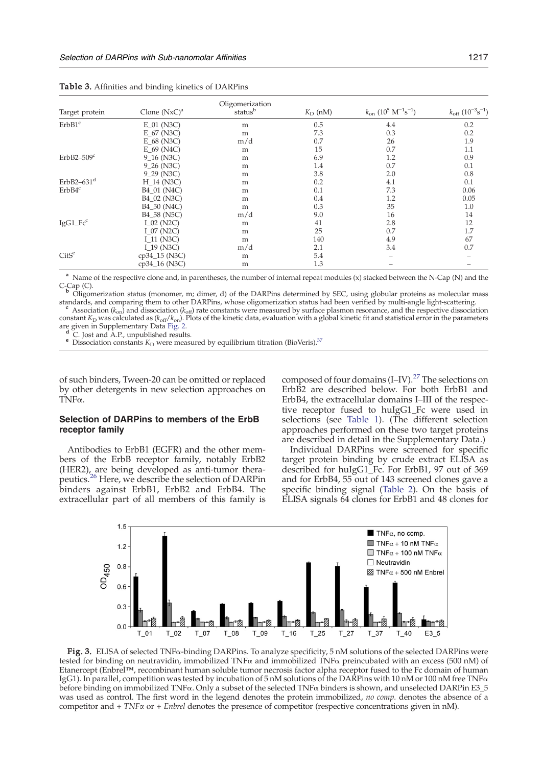| Target protein     | Clone $(NxC)^a$                       | Oligomerization<br>statusb | $K_{\rm D}$ (nM) | $k_{\rm on}$ (10 <sup>5</sup> $\rm M^{-1} s^{-1}$ ) | $k_{\mathrm{off}}\, (10^{-3} \mathrm{s}^{-1})$ |
|--------------------|---------------------------------------|----------------------------|------------------|-----------------------------------------------------|------------------------------------------------|
| ErbB1 <sup>c</sup> | $E_01(N3C)$                           | m                          | 0.5              | 4.4                                                 | 0.2                                            |
|                    | $E_67$ (N3C)                          | m                          | 7.3              | 0.3                                                 | 0.2                                            |
|                    | $E_68$ (N3C)                          | m/d                        | 0.7              | 26                                                  | 1.9                                            |
|                    | $E_69$ (N <sub>4</sub> C)             | m                          | 15               | 0.7                                                 | 1.1                                            |
| $ErbB2-509c$       | 9_16 (N3C)                            | m                          | 6.9              | 1.2                                                 | 0.9                                            |
|                    | 9_26 (N3C)                            | m                          | 1.4              | 0.7                                                 | 0.1                                            |
|                    | 9_29 (N3C)                            | m                          | 3.8              | 2.0                                                 | 0.8                                            |
| $ErbB2-631d$       | $H_14(N3C)$                           | m                          | 0.2              | 4.1                                                 | 0.1                                            |
| ErbB4 <sup>c</sup> | B <sub>4</sub> _01 (N <sub>4</sub> C) | m                          | 0.1              | 7.3                                                 | 0.06                                           |
|                    | B <sub>4</sub> _02 (N <sub>3</sub> C) | m                          | 0.4              | 1.2                                                 | 0.05                                           |
|                    | B <sub>4_50</sub> (N <sub>4C</sub> )  | m                          | 0.3              | 35                                                  | 1.0                                            |
|                    | B <sub>4_58</sub> (N <sub>5C</sub> )  | m/d                        | 9.0              | 16                                                  | 14                                             |
| $IgG1_Fc^c$        | $I_02(N2C)$                           | m                          | 41               | 2.8                                                 | 12                                             |
|                    | I 07 (N2C)                            | m                          | 25               | 0.7                                                 | 1.7                                            |
|                    | I 11 $(N3C)$                          | m                          | 140              | 4.9                                                 | 67                                             |
|                    | $L_{19}$ (N3C)                        | m/d                        | 2.1              | 3.4                                                 | 0.7                                            |
| CitS <sup>e</sup>  | cp34_15 (N3C)                         | m                          | 5.4              |                                                     |                                                |
|                    | cp34_16 (N3C)                         | m                          | 1.3              |                                                     |                                                |

<span id="page-6-0"></span>Table 3. Affinities and binding kinetics of DARPins

<sup>a</sup> Name of the respective clone and, in parentheses, the number of internal repeat modules (x) stacked between the N-Cap (N) and the

C-Cap (C).<br>
b Oligomerization status (monomer, m; dimer, d) of the DARPins determined by SEC, using globular proteins as molecular mass<br>
standards, and comparing them to other DARPins, whose oligomerization status had been Association  $(k_{on})$  and dissociation  $(k_{off})$  rate constants were measured by surface plasmon resonance, and the respective dissociation

constant  $K_D$  was calculated as ( $k_{\text{off}}/k_{\text{on}}$ ). Plots of the kinetic data, evaluation with a global kinetic fit and statistical error in the parameters are given in Supplementary Data Fig. 2.<br>  $\frac{d}{dx} C$  Let you de D

<sup>d</sup> C. Jost and A.P., unpublished results.<br>
<sup>e</sup> Dissociation constants  $K<sub>D</sub>$  were measured by equilibrium titration (BioVeris).<sup>37</sup>

of such binders, Tween-20 can be omitted or replaced by other detergents in new selection approaches on  $TNF\alpha$ .

## Selection of DARPins to members of the ErbB receptor family

Antibodies to ErbB1 (EGFR) and the other members of the ErbB receptor family, notably ErbB2 (HER2), are being developed as anti-tumor thera-peutics.<sup>[26](#page-16-0)</sup> Here, we describe the selection of DARPin binders against ErbB1, ErbB2 and ErbB4. The extracellular part of all members of this family is composed of four domains  $(I-IV).^{27}$  $(I-IV).^{27}$  $(I-IV).^{27}$  The selections on ErbB2 are described below. For both ErbB1 and ErbB4, the extracellular domains I–III of the respective receptor fused to huIgG1\_Fc were used in selections (see [Table 1](#page-3-0)). (The different selection approaches performed on these two target proteins are described in detail in the Supplementary Data.)

Individual DARPins were screened for specific target protein binding by crude extract ELISA as described for huIgG1\_Fc. For ErbB1, 97 out of 369 and for ErbB4, 55 out of 143 screened clones gave a specific binding signal [\(Table 2\)](#page-5-0). On the basis of ELISA signals 64 clones for ErbB1 and 48 clones for



Fig. 3. ELISA of selected TNFα-binding DARPins. To analyze specificity, 5 nM solutions of the selected DARPins were tested for binding on neutravidin, immobilized TNFα and immobilized TNFα preincubated with an excess (500 nM) of Etanercept (Enbrel™, recombinant human soluble tumor necrosis factor alpha receptor fused to the Fc domain of human IgG1). In parallel, competition was tested by incubation of 5 nM solutions of the DARPins with 10 nM or 100 nM free TNF $\alpha$ before binding on immobilized TNFα. Only a subset of the selected TNFα binders is shown, and unselected DARPin E3\_5 was used as control. The first word in the legend denotes the protein immobilized, no comp. denotes the absence of a competitor and +  $TNF\alpha$  or + Enbrel denotes the presence of competitor (respective concentrations given in nM).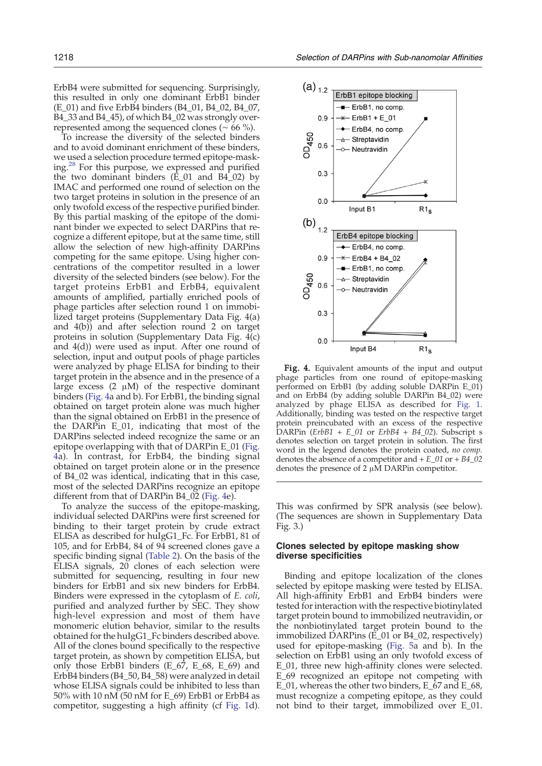ErbB4 were submitted for sequencing. Surprisingly, this resulted in only one dominant ErbB1 binder (E\_01) and five ErbB4 binders (B4\_01, B4\_02, B4\_07, B4 33 and B4 45), of which B4 02 was strongly overrepresented among the sequenced clones ( $~66$  %).

To increase the diversity of the selected binders and to avoid dominant enrichment of these binders, we used a selection procedure termed epitope-masking[.](#page-16-0)[28](#page-16-0) For this purpose, we expressed and purified the two dominant binders  $(\dot{E}_0 1)$  and  $B4_0 2)$  by IMAC and performed one round of selection on the two target proteins in solution in the presence of an only twofold excess of the respective purified binder. By this partial masking of the epitope of the dominant binder we expected to select DARPins that recognize a different epitope, but at the same time, still allow the selection of new high-affinity DARPins competing for the same epitope. Using higher concentrations of the competitor resulted in a lower diversity of the selected binders (see below). For the target proteins ErbB1 and ErbB4, equivalent amounts of amplified, partially enriched pools of phage particles after selection round 1 on immobilized target proteins (Supplementary Data Fig. 4(a) and 4(b)) and after selection round 2 on target proteins in solution (Supplementary Data Fig.  $\tilde{A}(c)$ and 4(d)) were used as input. After one round of selection, input and output pools of phage particles were analyzed by phage ELISA for binding to their target protein in the absence and in the presence of a large excess (2 μM) of the respective dominant binders (Fig. 4a and b). For ErbB1, the binding signal obtained on target protein alone was much higher than the signal obtained on ErbB1 in the presence of the DARPin E\_01, indicating that most of the DARPins selected indeed recognize the same or an epitope overlapping with that of DARPin E\_01 (Fig. 4a). In contrast, for ErbB4, the binding signal obtained on target protein alone or in the presence of B4\_02 was identical, indicating that in this case, most of the selected DARPins recognize an epitope different from that of DARPin B4\_02 (Fig. 4e).

To analyze the success of the epitope-masking, individual selected DARPins were first screened for binding to their target protein by crude extract ELISA as described for huIgG1\_Fc. For ErbB1, 81 of 105, and for ErbB4, 84 of 94 screened clones gave a specific binding signal [\(Table 2](#page-5-0)). On the basis of the ELISA signals, 20 clones of each selection were submitted for sequencing, resulting in four new binders for ErbB1 and six new binders for ErbB4. Binders were expressed in the cytoplasm of E. coli, purified and analyzed further by SEC. They show high-level expression and most of them have monomeric elution behavior, similar to the results obtained for the huIgG1\_Fc binders described above. All of the clones bound specifically to the respective target protein, as shown by competition ELISA, but only those ErbB1 binders (E $67$ , E $68$ , E $69$ ) and ErbB4 binders (B4\_50, B4\_58) were analyzed in detail whose ELISA signals could be inhibited to less than 50% with 10 nM (50 nM for E\_69) ErbB1 or ErbB4 as competitor, suggesting a high affinity (cf [Fig. 1d](#page-4-0)).



Fig. 4. Equivalent amounts of the input and output phage particles from one round of epitope-masking performed on ErbB1 (by adding soluble DARPin E\_01) and on ErbB4 (by adding soluble DARPin B4\_02) were analyzed by phage ELISA as described for [Fig. 1.](#page-4-0) Additionally, binding was tested on the respective target protein preincubated with an excess of the respective  $\text{DARPin}$  (*ErbB1* + *E\_01* or *ErbB4* + *B4\_02*). Subscript s denotes selection on target protein in solution. The first word in the legend denotes the protein coated, no comp. denotes the absence of a competitor and  $+ E_0 1$  or  $+ B4_0 2$ denotes the presence of 2 μM DARPin competitor.

This was confirmed by SPR analysis (see below). (The sequences are shown in Supplementary Data Fig. 3.)

## Clones selected by epitope masking show diverse specificities

Binding and epitope localization of the clones selected by epitope masking were tested by ELISA. All high-affinity ErbB1 and ErbB4 binders were tested for interaction with the respective biotinylated target protein bound to immobilized neutravidin, or the nonbiotinylated target protein bound to the immobilized DARPins  $(E_01$  or B4\_02, respectively) used for epitope-masking [\(Fig. 5a](#page-8-0) and  $\bar{b}$ ). In the selection on ErbB1 using an only twofold excess of E\_01, three new high-affinity clones were selected. E\_69 recognized an epitope not competing with E\_01, whereas the other two binders, E\_67 and E\_68, must recognize a competing epitope, as they could not bind to their target, immobilized over E\_01.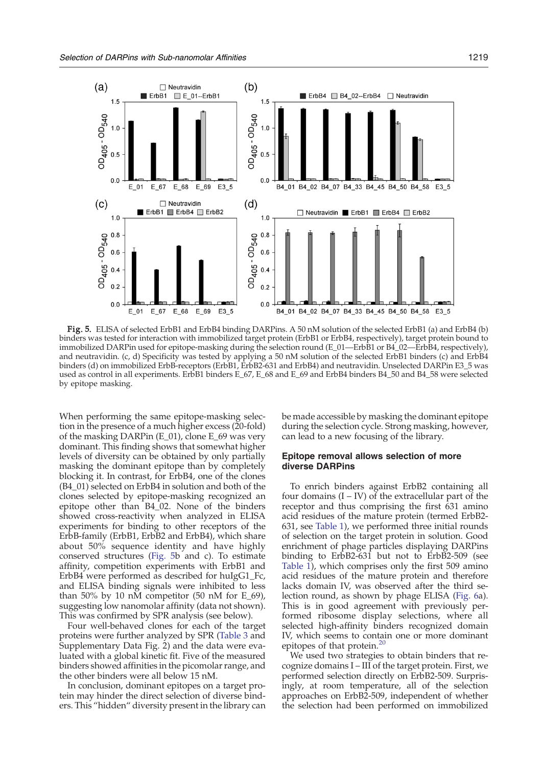<span id="page-8-0"></span>

Fig. 5. ELISA of selected ErbB1 and ErbB4 binding DARPins. A 50 nM solution of the selected ErbB1 (a) and ErbB4 (b) binders was tested for interaction with immobilized target protein (ErbB1 or ErbB4, respectively), target protein bound to immobilized DARPin used for epitope-masking during the selection round (E\_01—ErbB1 or B4\_02—ErbB4, respectively), and neutravidin. (c, d) Specificity was tested by applying a 50 nM solution of the selected ErbB1 binders (c) and ErbB4 binders (d) on immobilized ErbB-receptors (ErbB1, ErbB2-631 and ErbB4) and neutravidin. Unselected DARPin E3\_5 was used as control in all experiments. ErbB1 binders E\_67, E\_68 and E\_69 and ErbB4 binders B4\_50 and B4\_58 were selected by epitope masking.

When performing the same epitope-masking selection in the presence of a much higher excess (20-fold) of the masking DARPin  $(E_01)$ , clone  $E_69$  was very dominant. This finding shows that somewhat higher levels of diversity can be obtained by only partially masking the dominant epitope than by completely blocking it. In contrast, for ErbB4, one of the clones (B4\_01) selected on ErbB4 in solution and both of the clones selected by epitope-masking recognized an epitope other than B4\_02. None of the binders showed cross-reactivity when analyzed in ELISA experiments for binding to other receptors of the ErbB-family (ErbB1, ErbB2 and ErbB4), which share about 50% sequence identity and have highly conserved structures (Fig. 5b and c). To estimate affinity, competition experiments with ErbB1 and ErbB4 were performed as described for huIgG1\_Fc, and ELISA binding signals were inhibited to less than 50% by 10 nM competitor (50 nM for  $E_6$ 9), suggesting low nanomolar affinity (data not shown). This was confirmed by SPR analysis (see below).

Four well-behaved clones for each of the target proteins were further analyzed by SPR [\(Table 3](#page-6-0) and Supplementary Data Fig. 2) and the data were evaluated with a global kinetic fit. Five of the measured binders showed affinities in the picomolar range, and the other binders were all below 15 nM.

In conclusion, dominant epitopes on a target protein may hinder the direct selection of diverse binders. This "hidden" diversity present in the library can be made accessible by masking the dominant epitope during the selection cycle. Strong masking, however, can lead to a new focusing of the library.

## Epitope removal allows selection of more diverse DARPins

To enrich binders against ErbB2 containing all four domains  $(I – IV)$  of the extracellular part of the receptor and thus comprising the first 631 amino acid residues of the mature protein (termed ErbB2- 631, see [Table 1](#page-3-0)), we performed three initial rounds of selection on the target protein in solution. Good enrichment of phage particles displaying DARPins binding to ErbB2-631 but not to ErbB2-509 (see [Table 1\)](#page-3-0), which comprises only the first 509 amino acid residues of the mature protein and therefore lacks domain IV, was observed after the third selection round, as shown by phage ELISA ([Fig. 6a](#page-9-0)). This is in good agreement with previously performed ribosome display selections, where all selected high-affinity binders recognized domain IV, which seems to contain one or more dominant epitopes of that protein.<sup>[20](#page-16-0)</sup>

We used two strategies to obtain binders that recognize domains I – III of the target protein. First, we performed selection directly on ErbB2-509. Surprisingly, at room temperature, all of the selection approaches on ErbB2-509, independent of whether the selection had been performed on immobilized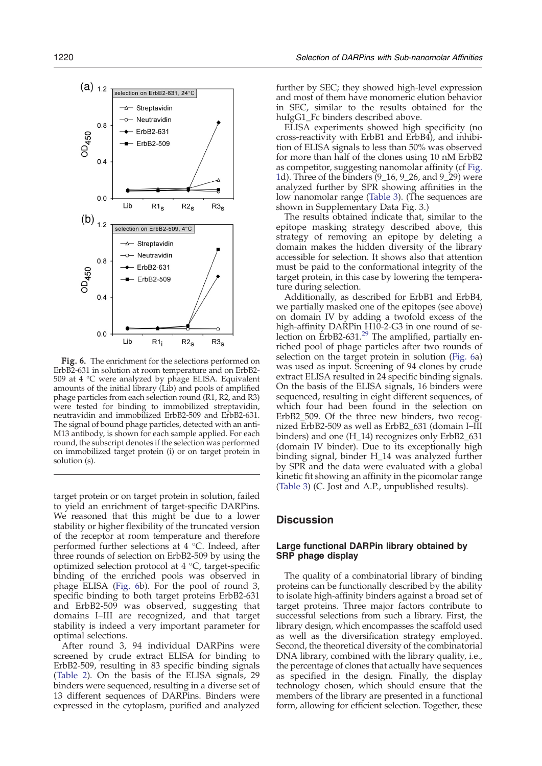<span id="page-9-0"></span>

Fig. 6. The enrichment for the selections performed on ErbB2-631 in solution at room temperature and on ErbB2- 509 at 4 °C were analyzed by phage ELISA. Equivalent amounts of the initial library (Lib) and pools of amplified phage particles from each selection round (R1, R2, and R3) were tested for binding to immobilized streptavidin, neutravidin and immobilized ErbB2-509 and ErbB2-631. The signal of bound phage particles, detected with an anti-M13 antibody, is shown for each sample applied. For each round, the subscript denotes if the selection was performed on immobilized target protein (i) or on target protein in solution (s).

target protein or on target protein in solution, failed to yield an enrichment of target-specific DARPins. We reasoned that this might be due to a lower stability or higher flexibility of the truncated version of the receptor at room temperature and therefore performed further selections at 4 °C. Indeed, after three rounds of selection on ErbB2-509 by using the optimized selection protocol at 4 °C, target-specific binding of the enriched pools was observed in phage ELISA (Fig. 6b). For the pool of round 3, specific binding to both target proteins ErbB2-631 and ErbB2-509 was observed, suggesting that domains I–III are recognized, and that target stability is indeed a very important parameter for optimal selections.

After round 3, 94 individual DARPins were screened by crude extract ELISA for binding to ErbB2-509, resulting in 83 specific binding signals [\(Table 2\)](#page-5-0). On the basis of the ELISA signals, 29 binders were sequenced, resulting in a diverse set of 13 different sequences of DARPins. Binders were expressed in the cytoplasm, purified and analyzed

further by SEC; they showed high-level expression and most of them have monomeric elution behavior in SEC, similar to the results obtained for the huIgG1\_Fc binders described above.

ELISA experiments showed high specificity (no cross-reactivity with ErbB1 and ErbB4), and inhibition of ELISA signals to less than 50% was observed for more than half of the clones using 10 nM ErbB2 as competitor, suggesting nanomolar affinity (cf [Fig.](#page-4-0) [1](#page-4-0)d). Three of the binders (9\_16, 9\_26, and 9\_29) were analyzed further by SPR showing affinities in the low nanomolar range ([Table 3](#page-6-0)). (The sequences are shown in Supplementary Data Fig. 3.)

The results obtained indicate that, similar to the epitope masking strategy described above, this strategy of removing an epitope by deleting a domain makes the hidden diversity of the library accessible for selection. It shows also that attention must be paid to the conformational integrity of the target protein, in this case by lowering the temperature during selection.

Additionally, as described for ErbB1 and ErbB4, we partially masked one of the epitopes (see above) on domain IV by adding a twofold excess of the high-affinity DARPin H10-2-G3 in one round of se-lection on ErbB2-631[.](#page-16-0)<sup>[29](#page-16-0)</sup> The amplified, partially enriched pool of phage particles after two rounds of selection on the target protein in solution (Fig. 6a) was used as input. Screening of 94 clones by crude extract ELISA resulted in 24 specific binding signals. On the basis of the ELISA signals, 16 binders were sequenced, resulting in eight different sequences, of which four had been found in the selection on ErbB2\_509. Of the three new binders, two recognized ErbB2-509 as well as ErbB2\_631 (domain I–III binders) and one (H\_14) recognizes only ErbB2\_631 (domain IV binder). Due to its exceptionally high binding signal, binder H\_14 was analyzed further by SPR and the data were evaluated with a global kinetic fit showing an affinity in the picomolar range ([Table 3](#page-6-0)) (C. Jost and A.P., unpublished results).

## Discussion

## Large functional DARPin library obtained by SRP phage display

The quality of a combinatorial library of binding proteins can be functionally described by the ability to isolate high-affinity binders against a broad set of target proteins. Three major factors contribute to successful selections from such a library. First, the library design, which encompasses the scaffold used as well as the diversification strategy employed. Second, the theoretical diversity of the combinatorial DNA library, combined with the library quality, i.e., the percentage of clones that actually have sequences as specified in the design. Finally, the display technology chosen, which should ensure that the members of the library are presented in a functional form, allowing for efficient selection. Together, these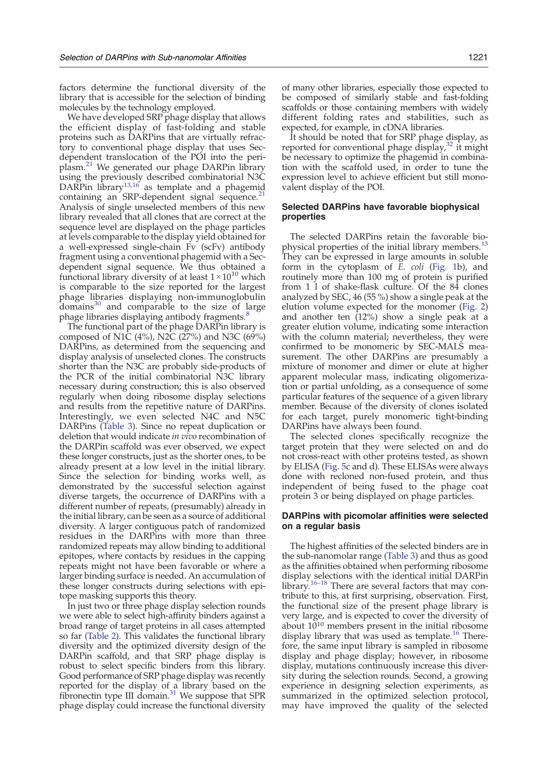factors determine the functional diversity of the library that is accessible for the selection of binding molecules by the technology employed.

We have developed SRP phage display that allows the efficient display of fast-folding and stable proteins such as DARPins that are virtually refractory to conventional phage display that uses Secdependent translocation of the POI into the periplasm[.](#page-16-0)[21](#page-16-0) We generated our phage DARPin library using the previously described combinatorial N3C DARPin library<sup>[13,16](#page-15-0)</sup> as template and a phagemid containing an SRP-dependent signal sequence. $21$ Analysis of single unselected members of this new library revealed that all clones that are correct at the sequence level are displayed on the phage particles at levels comparable to the display yield obtained for a well-expressed single-chain Fv (scFv) antibody fragment using a conventional phagemid with a Secdependent signal sequence. We thus obtained a functional library diversity of at least  $1 \times 10^{10}$  which is comparable to the size reported for the largest phage libraries displaying non-immunoglobulin  $domains<sup>30</sup>$  $domains<sup>30</sup>$  $domains<sup>30</sup>$  and comparable to the size of large phage libraries displaying antibody fragments.<sup>[8](#page-15-0)</sup>

The functional part of the phage DARPin library is composed of N1C (4%), N2C (27%) and N3C (69%) DARPins, as determined from the sequencing and display analysis of unselected clones. The constructs shorter than the N3C are probably side-products of the PCR of the initial combinatorial N3C library necessary during construction; this is also observed regularly when doing ribosome display selections and results from the repetitive nature of DARPins. Interestingly, we even selected N4C and N5C DARPins [\(Table 3](#page-6-0)). Since no repeat duplication or deletion that would indicate in vivo recombination of the DARPin scaffold was ever observed, we expect these longer constructs, just as the shorter ones, to be already present at a low level in the initial library. Since the selection for binding works well, as demonstrated by the successful selection against diverse targets, the occurrence of DARPins with a different number of repeats, (presumably) already in the initial library, can be seen as a source of additional diversity. A larger contiguous patch of randomized residues in the DARPins with more than three randomized repeats may allow binding to additional epitopes, where contacts by residues in the capping repeats might not have been favorable or where a larger binding surface is needed. An accumulation of these longer constructs during selections with epitope masking supports this theory.

In just two or three phage display selection rounds we were able to select high-affinity binders against a broad range of target proteins in all cases attempted so far [\(Table 2](#page-5-0)). This validates the functional library diversity and the optimized diversity design of the DARPin scaffold, and that SRP phage display is robust to select specific binders from this library. Good performance of SRP phage display was recently reported for the display of a library based on the fibronectin type III domain. $31$  We suppose that SPR phage display could increase the functional diversity

of many other libraries, especially those expected to be composed of similarly stable and fast-folding scaffolds or those containing members with widely different folding rates and stabilities, such as expected, for example, in cDNA libraries.

It should be noted that for SRP phage display, as reported for conventional phage display,<sup>[32](#page-16-0)</sup> it might be necessary to optimize the phagemid in combination with the scaffold used, in order to tune the expression level to achieve efficient but still monovalent display of the POI.

## Selected DARPins have favorable biophysical properties

The selected DARPins retain the favorable bio-physical properties of the initial library members.<sup>[13](#page-15-0)</sup> They can be expressed in large amounts in soluble form in the cytoplasm of E. coli [\(Fig. 1](#page-4-0)b), and routinely more than 100 mg of protein is purified from 1 l of shake-flask culture. Of the 84 clones analyzed by SEC, 46 (55 %) show a single peak at the elution volume expected for the monomer ([Fig. 2](#page-5-0)) and another ten  $(12%)$  show a single peak at a greater elution volume, indicating some interaction with the column material; nevertheless, they were confirmed to be monomeric by SEC-MALS measurement. The other DARPins are presumably a mixture of monomer and dimer or elute at higher apparent molecular mass, indicating oligomerization or partial unfolding, as a consequence of some particular features of the sequence of a given library member. Because of the diversity of clones isolated for each target, purely monomeric tight-binding DARPins have always been found.

The selected clones specifically recognize the target protein that they were selected on and do not cross-react with other proteins tested, as shown by ELISA ([Fig. 5](#page-8-0)c and d). These ELISAs were always done with recloned non-fused protein, and thus independent of being fused to the phage coat protein 3 or being displayed on phage particles.

## DARPins with picomolar affinities were selected on a regular basis

The highest affinities of the selected binders are in the sub-nanomolar range [\(Table 3](#page-6-0)) and thus as good as the affinities obtained when performing ribosome displa[y sele](#page-15-0)ctions with the identical initial DARPin library.<sup>16–18</sup> There are several factors that may contribute to this, at first surprising, observation. First, the functional size of the present phage library is very large, and is expected to cover the diversity of about  $10^{10}$  members present in the initial ribosome display library that was used as template.<sup>[16](#page-15-0)</sup> Therefore, the same input library is sampled in ribosome display and phage display; however, in ribosome display, mutations continuously increase this diversity during the selection rounds. Second, a growing experience in designing selection experiments, as summarized in the optimized selection protocol, may have improved the quality of the selected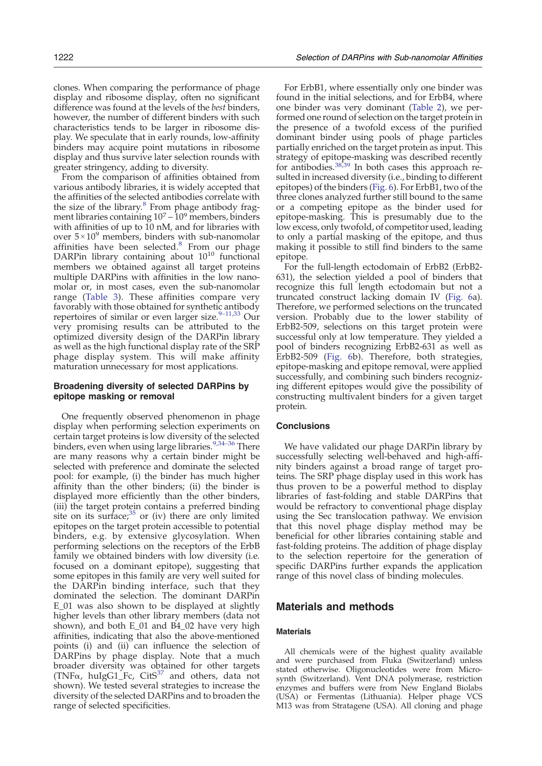clones. When comparing the performance of phage display and ribosome display, often no significant difference was found at the levels of the best binders, however, the number of different binders with such characteristics tends to be larger in ribosome display. We speculate that in early rounds, low-affinity binders may acquire point mutations in ribosome display and thus survive later selection rounds with greater stringency, adding to diversity.

From the comparison of affinities obtained from various antibody libraries, it is widely accepted that the affinities of the selected antibodies correlate with the size of the library.<sup>[8](#page-15-0)</sup> From phage antibody fragment libraries containing  $10^7 - 10^9$  members, binders with affinities of up to 10 nM, and for libraries with over  $5 \times 10^9$  members, binders with sub-nanomolar affinities have been selected. $8$  From our phage DARPin library containing about  $10^{10}$  functional members we obtained against all target proteins multiple DARPins with affinities in the low nanomolar or, in most cases, even the sub-nanomolar range ([Table 3\)](#page-6-0). These affinities compare very favorably with those obtained for synthetic antibody<br>repertoires of similar or even larger size.<sup>9–[11,33](#page-15-0)</sup> Our very promising results can be attributed to the optimized diversity design of the DARPin library as well as the high functional display rate of the SRP phage display system. This will make affinity maturation unnecessary for most applications.

## Broadening diversity of selected DARPins by epitope masking or removal

One frequently observed phenomenon in phage display when performing selection experiments on certain target proteins is low diversity of the selected binders, even when using large libraries.<sup>[9,34](#page-15-0)–36</sup> There are many reasons why a certain binder might be selected with preference and dominate the selected pool: for example, (i) the binder has much higher affinity than the other binders; (ii) the binder is displayed more efficiently than the other binders, (iii) the target protein contains a preferred binding site on its surface; $35$  or (iv) there are only limited epitopes on the target protein accessible to potential binders, e.g. by extensive glycosylation. When performing selections on the receptors of the ErbB family we obtained binders with low diversity (i.e. focused on a dominant epitope), suggesting that some epitopes in this family are very well suited for the DARPin binding interface, such that they dominated the selection. The dominant DARPin E\_01 was also shown to be displayed at slightly higher levels than other library members (data not shown), and both E\_01 and B4\_02 have very high affinities, indicating that also the above-mentioned points (i) and (ii) can influence the selection of DARPins by phage display. Note that a much broader diversity was obtained for other targets (TNF $\alpha$ , huIgG1\_Fc, CitS<sup>[37](#page-16-0)</sup> and others, data not shown). We tested several strategies to increase the diversity of the selected DARPins and to broaden the range of selected specificities.

For ErbB1, where essentially only one binder was found in the initial selections, and for ErbB4, where one binder was very dominant [\(Table 2](#page-5-0)), we performed one round of selection on the target protein in the presence of a twofold excess of the purified dominant binder using pools of phage particles partially enriched on the target protein as input. This strategy of epitope-masking was described recently for antibodies. $38,39$  In both cases this approach resulted in increased diversity (i.e., binding to different epitopes) of the binders [\(Fig. 6](#page-9-0)). For ErbB1, two of the three clones analyzed further still bound to the same or a competing epitope as the binder used for epitope-masking. This is presumably due to the low excess, only twofold, of competitor used, leading to only a partial masking of the epitope, and thus making it possible to still find binders to the same epitope.

For the full-length ectodomain of ErbB2 (ErbB2- 631), the selection yielded a pool of binders that recognize this full length ectodomain but not a truncated construct lacking domain IV [\(Fig. 6](#page-9-0)a). Therefore, we performed selections on the truncated version. Probably due to the lower stability of ErbB2-509, selections on this target protein were successful only at low temperature. They yielded a pool of binders recognizing ErbB2-631 as well as ErbB2-509 ([Fig. 6b](#page-9-0)). Therefore, both strategies, epitope-masking and epitope removal, were applied successfully, and combining such binders recognizing different epitopes would give the possibility of constructing multivalent binders for a given target protein.

#### **Conclusions**

We have validated our phage DARPin library by successfully selecting well-behaved and high-affinity binders against a broad range of target proteins. The SRP phage display used in this work has thus proven to be a powerful method to display libraries of fast-folding and stable DARPins that would be refractory to conventional phage display using the Sec translocation pathway. We envision that this novel phage display method may be beneficial for other libraries containing stable and fast-folding proteins. The addition of phage display to the selection repertoire for the generation of specific DARPins further expands the application range of this novel class of binding molecules.

## Materials and methods

#### **Materials**

All chemicals were of the highest quality available and were purchased from Fluka (Switzerland) unless stated otherwise. Oligonucleotides were from Microsynth (Switzerland). Vent DNA polymerase, restriction enzymes and buffers were from New England Biolabs (USA) or Fermentas (Lithuania). Helper phage VCS M13 was from Stratagene (USA). All cloning and phage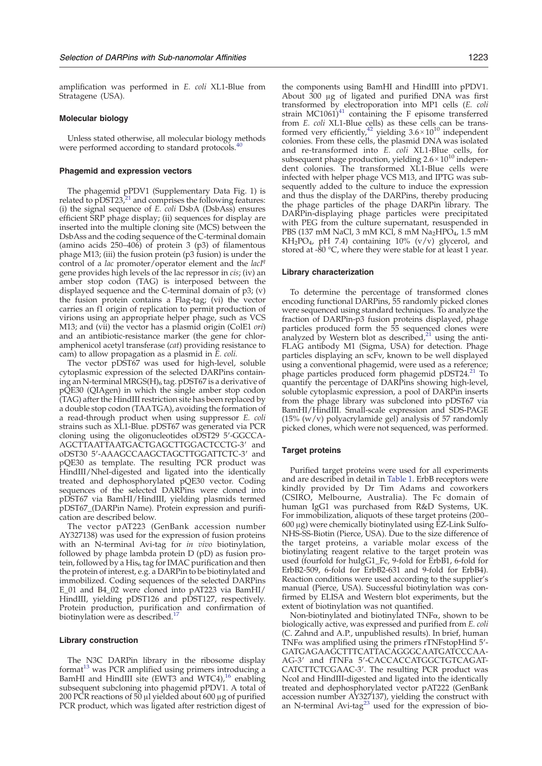amplification was performed in E. coli XL1-Blue from Stratagene (USA).

#### Molecular biology

Unless stated otherwise, all molecular biology methods were performed according to standard protocols.<sup>[40](#page-16-0)</sup>

#### Phagemid and expression vectors

The phagemid pPDV1 (Supplementary Data Fig. 1) is related to  $p$ DST23, $21$  and comprises the following features: (i) the signal sequence of E. coli DsbA (DsbAss) ensures efficient SRP phage display; (ii) sequences for display are inserted into the multiple cloning site (MCS) between the DsbAss and the coding sequence of the C-terminal domain (amino acids  $250-406$ ) of protein 3 (p3) of filamentous phage M13; (iii) the fusion protein (p3 fusion) is under the control of a *lac* promoter/operator element and the  $lacI<sup>q</sup>$ gene provides high levels of the lac repressor in cis; (iv) an amber stop codon (TAG) is interposed between the displayed sequence and the C-terminal domain of p3; (v) the fusion protein contains a Flag-tag; (vi) the vector carries an f1 origin of replication to permit production of virions using an appropriate helper phage, such as VCS M13; and (vii) the vector has a plasmid origin (ColE1 ori) and an antibiotic-resistance marker (the gene for chloramphenicol acetyl transferase (cat) providing resistance to cam) to allow propagation as a plasmid in  $E$ . *coli*.

The vector pDST67 was used for high-level, soluble cytoplasmic expression of the selected DARPins containing an N-terminal MRGS $(H)$ <sub>6</sub> tag. pDST67 is a derivative of pQE30 (QIAgen) in which the single amber stop codon (TAG) after the HindIII restriction site has been replaced by a double stop codon (TAATGA), avoiding the formation of a read-through product when using suppressor E. coli strains such as XL1-Blue. pDST67 was generated via PCR cloning using the oligonucleotides oDST29 5′-GGCCA-AGCTTAATTAATGACTGAGCTTGGACTCCTG-3′ and oDST30 5′-AAAGCCAAGCTAGCTTGGATTCTC-3′ and pQE30 as template. The resulting PCR product was HindIII/NheI-digested and ligated into the identically treated and dephosphorylated pQE30 vector. Coding sequences of the selected DARPins were cloned into pDST67 via BamHI/HindIII, yielding plasmids termed pDST67\_(DARPin Name). Protein expression and purification are described below.

The vector pAT223 (GenBank accession number AY327138) was used for the expression of fusion proteins with an N-terminal Avi-tag for in vivo biotinylation, followed by phage lambda protein D (pD) as fusion protein, followed by a  $His<sub>6</sub>$  tag for IMAC purification and then the protein of interest, e.g. a DARPin to be biotinylated and immobilized. Coding sequences of the selected DARPins E\_01 and B4\_02 were cloned into pAT223 via BamHI/ HindIII, yielding pDST126 and pDST127, respectively. Protein production, purification and confirmation of biotinylation were as described.<sup>1</sup>

#### Library construction

The N3C DARPin library in the ribosome display format<sup>[13](#page-15-0)</sup> was PCR amplified using primers introducing a BamHI and HindIII site (EWT3 and WTC4),<sup>[16](#page-15-0)</sup> enabling subsequent subcloning into phagemid pPDV1. A total of 200 PCR reactions of 50 μl yielded about 600 μg of purified PCR product, which was ligated after restriction digest of the components using BamHI and HindIII into pPDV1. About 300 μg of ligated and purified DNA was first transformed by electroporation into MP1 cells (E. coli strain  $MC1061)^{41}$  $MC1061)^{41}$  $MC1061)^{41}$  containing the F episome transferred from *E. coli* XL1-Blue cells) as these cells can be trans-<br>formed very efficiently,<sup>42</sup> yielding  $3.6 \times 10^{10}$  independent colonies. From these cells, the plasmid DNA was isolated and re-transformed into E. coli XL1-Blue cells, for subsequent phage production, yielding  $2.6 \times 10^{10}$  independent colonies. The transformed XL1-Blue cells were infected with helper phage VCS M13, and IPTG was subsequently added to the culture to induce the expression and thus the display of the DARPins, thereby producing the phage particles of the phage DARPin library. The DARPin-displaying phage particles were precipitated with PEG from the culture supernatant, resuspended in PBS (137 mM NaCl, 3 mM KCl, 8 mM Na<sub>2</sub>HPO<sub>4</sub>, 1.5 mM  $KH_2PO_4$ , pH 7.4) containing 10% (v/v) glycerol, and stored at  $-80$  °C, where they were stable for at least 1 year.

#### Library characterization

To determine the percentage of transformed clones encoding functional DARPins, 55 randomly picked clones were sequenced using standard techniques. To analyze the fraction of DARPin-p3 fusion proteins displayed, phage particles produced form the 55 sequenced clones were analyzed by Western blot as described, $2<sup>1</sup>$  using the anti-FLAG antibody M1 (Sigma, USA) for detection. Phage particles displaying an scFv, known to be well displayed using a conventional phagemid, were used as a reference; phage particles produced form phagemid  $pDST24.<sup>21</sup>$  $pDST24.<sup>21</sup>$  $pDST24.<sup>21</sup>$  To quantify the percentage of DARPins showing high-level, soluble cytoplasmic expression, a pool of DARPin inserts from the phage library was subcloned into pDST67 via BamHI/HindIII. Small-scale expression and SDS-PAGE (15% (w/v) polyacrylamide gel) analysis of 57 randomly picked clones, which were not sequenced, was performed.

#### Target proteins

Purified target proteins were used for all experiments and are described in detail in [Table 1.](#page-3-0) ErbB receptors were kindly provided by Dr Tim Adams and coworkers (CSIRO, Melbourne, Australia). The Fc domain of human IgG1 was purchased from R&D Systems, UK. For immobilization, aliquots of these target proteins (200– 600 μg) were chemically biotinylated using EZ-Link Sulfo-NHS-SS-Biotin (Pierce, USA). Due to the size difference of the target proteins, a variable molar excess of the biotinylating reagent relative to the target protein was used (fourfold for huIgG1\_Fc, 9-fold for ErbB1, 6-fold for ErbB2-509, 6-fold for ErbB2-631 and 9-fold for ErbB4). Reaction conditions were used according to the supplier's manual (Pierce, USA). Successful biotinylation was confirmed by ELISA and Western blot experiments, but the extent of biotinylation was not quantified.

Non-biotinylated and biotinylated TNFα, shown to be biologically active, was expressed and purified from E. coli (C. Zahnd and A.P., unpublished results). In brief, human TNFα was amplified using the primers rTNFstopHind 5′- GATGAGAAGCTTTCATTACAGGGCAATGATCCCAA-AG-3′ and fTNFa 5′-CACCACCATGGCTGTCAGAT-CATCTTCTCGAAC-3′. The resulting PCR product was NcoI and HindIII-digested and ligated into the identically treated and dephosphorylated vector pAT222 (GenBank accession number AY327137), yielding the construct with an N-terminal Avi-tag $^{23}$  $^{23}$  $^{23}$  used for the expression of bio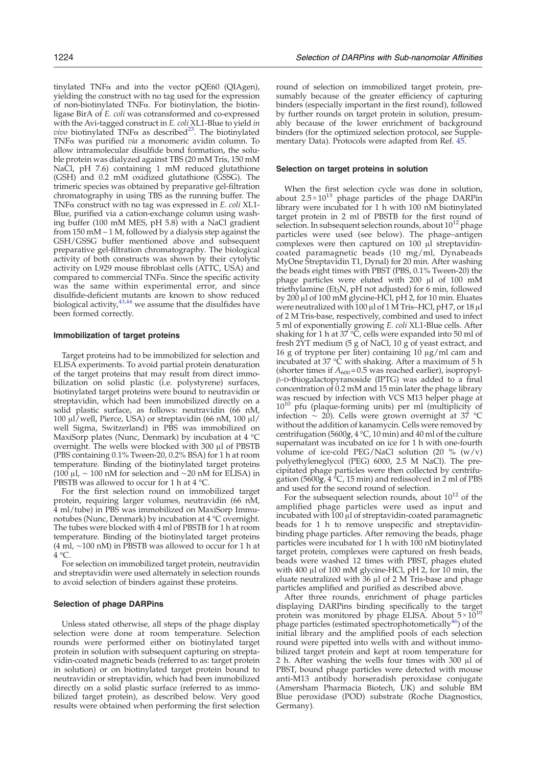tinylated TNF $\alpha$  and into the vector pQE60 (QIAgen), yielding the construct with no tag used for the expression of non-biotinylated TNFα. For biotinylation, the biotinligase BirA of E. coli was cotransformed and co-expressed with the Avi-tagged construct in *E. coli* XL1-Blue to yield *in*<br>*vivo* biotinylated TNFα as described<sup>[23](#page-16-0)</sup>. The biotinylated TNFα was purified via a monomeric avidin column. To allow intramolecular disulfide bond formation, the soluble protein was dialyzed against TBS (20 mM Tris, 150 mM NaCl, pH 7.6) containing 1 mM reduced glutathione (GSH) and 0.2 mM oxidized glutathione (GSSG). The trimeric species was obtained by preparative gel-filtration chromatography in using TBS as the running buffer. The TNFα construct with no tag was expressed in E. coli XL1- Blue, purified via a cation-exchange column using washing buffer (100 mM MES, pH 5.8) with a NaCl gradient from 150 mM – 1 M, followed by a dialysis step against the GSH/GSSG buffer mentioned above and subsequent preparative gel-filtration chromatography. The biological activity of both constructs was shown by their cytolytic activity on L929 mouse fibroblast cells (ATTC, USA) and compared to commercial TNFα. Since the specific activity was the same within experimental error, and since disulfide-deficient mutants are known to show reduced biological activity, $43,44$  we assume that the disulfides have been formed correctly.

#### Immobilization of target proteins

Target proteins had to be immobilized for selection and ELISA experiments. To avoid partial protein denaturation of the target proteins that may result from direct immobilization on solid plastic (i.e. polystyrene) surfaces, biotinylated target proteins were bound to neutravidin or streptavidin, which had been immobilized directly on a solid plastic surface, as follows: neutravidin (66 nM, 100 μl/well, Pierce, USA) or streptavidin (66 nM, 100 μl/ well Sigma, Switzerland) in PBS was immobilized on MaxiSorp plates (Nunc, Denmark) by incubation at 4 °C overnight. The wells were blocked with 300 μl of PBSTB (PBS containing 0.1% Tween-20, 0.2% BSA) for 1 h at room temperature. Binding of the biotinylated target proteins (100 μl,  $\sim$  100 nM for selection and  $\sim$ 20 nM for ELISA) in PBSTB was allowed to occur for 1 h at 4 °C.

For the first selection round on immobilized target protein, requiring larger volumes, neutravidin (66 nM, 4 ml/tube) in PBS was immobilized on MaxiSorp Immunotubes (Nunc, Denmark) by incubation at 4 °C overnight. The tubes were blocked with 4 ml of PBSTB for 1 h at room temperature. Binding of the biotinylated target proteins (4 ml, ∼100 nM) in PBSTB was allowed to occur for 1 h at  $4 °C$ .

For selection on immobilized target protein, neutravidin and streptavidin were used alternately in selection rounds to avoid selection of binders against these proteins.

#### Selection of phage DARPins

Unless stated otherwise, all steps of the phage display selection were done at room temperature. Selection rounds were performed either on biotinylated target protein in solution with subsequent capturing on streptavidin-coated magnetic beads (referred to as: target protein in solution) or on biotinylated target protein bound to neutravidin or streptavidin, which had been immobilized directly on a solid plastic surface (referred to as immobilized target protein), as described below. Very good results were obtained when performing the first selection

round of selection on immobilized target protein, presumably because of the greater efficiency of capturing binders (especially important in the first round), followed by further rounds on target protein in solution, presumably because of the lower enrichment of background binders (for the optimized selection protocol, see Supplementary Data). Protocols were adapted from Ref. [45](#page-16-0).

#### Selection on target proteins in solution

When the first selection cycle was done in solution, about  $2.5 \times 10^{13}$  phage particles of the phage DARPin library were incubated for 1 h with 100 nM biotinylated target protein in 2 ml of PBSTB for the first round of selection. In subsequent selection rounds, about  $10^{12}$  phage particles were used (see below). The phage–antigen complexes were then captured on 100 μl streptavidincoated paramagnetic beads (10 mg/ml, Dynabeads MyOne Streptavidin T1, Dynal) for 20 min. After washing the beads eight times with PBST (PBS, 0.1% Tween-20) the phage particles were eluted with 200 μl of 100 mM  $t$ riethylamine (Et<sub>3</sub>N, pH not adjusted) for 6 min, followed by 200 μl of 100 mM glycine-HCl, pH 2, for 10 min. Eluates were neutralized with 100 μl of 1 M Tris–HCl, pH 7, or 18 μl of 2 M Tris-base, respectively, combined and used to infect 5 ml of exponentially growing E. coli XL1-Blue cells. After shaking for 1 h at 37 °C, cells were expanded into 50 ml of fresh  $2\text{YT}$  medium (5 g of NaCl, 10 g of yeast extract, and 16 g of tryptone per liter) containing 10 μg/ml cam and incubated at 37 °C with shaking. After a maximum of 5 h (shorter times if  $A_{600} = 0.5$  was reached earlier), isopropylβ-D-thiogalactopyranoside (IPTG) was added to a final concentration of 0.2 mM and 15 min later the phage library was rescued by infection with VCS M13 helper phage at 1010 pfu (plaque-forming units) per ml (multiplicity of infection  $\sim$  20). Cells were grown overnight at 37 °C without the addition of kanamycin. Cells were removed by centrifugation (5600 $g$ , 4 °C, 10 min) and 40 ml of the culture supernatant was incubated on ice for 1 h with one-fourth volume of ice-cold PEG/NaCl solution (20 %  $(w/v)$ ) polyethyleneglycol (PEG) 6000, 2.5 M NaCl). The precipitated phage particles were then collected by centrifugation (5600 $g$ , 4 °C, 15 min) and redissolved in 2 ml of PBS and used for the second round of selection.

For the subsequent selection rounds, about  $10^{12}$  of the amplified phage particles were used as input and incubated with 100 μl of streptavidin-coated paramagnetic beads for 1 h to remove unspecific and streptavidinbinding phage particles. After removing the beads, phage particles were incubated for 1 h with 100 nM biotinylated target protein, complexes were captured on fresh beads, beads were washed 12 times with PBST, phages eluted with 400 μl of 100 mM glycine-HCl, pH 2, for 10 min, the eluate neutralized with 36 μl of 2 M Tris-base and phage particles amplified and purified as described above.

After three rounds, enrichment of phage particles displaying DARPins binding specifically to the target protein was monitored by phage ELISA. About  $5 \times 10^{10}$ phage particles (estimated spectrophotometically $46$ ) of the initial library and the amplified pools of each selection round were pipetted into wells with and without immobilized target protein and kept at room temperature for 2 h. After washing the wells four times with 300 μl of PBST, bound phage particles were detected with mouse anti-M13 antibody horseradish peroxidase conjugate (Amersham Pharmacia Biotech, UK) and soluble BM Blue peroxidase (POD) substrate (Roche Diagnostics, Germany).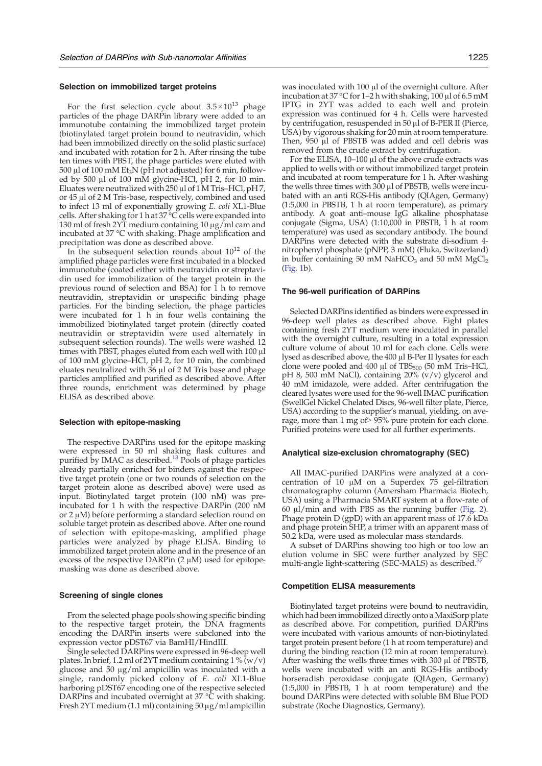#### Selection on immobilized target proteins

For the first selection cycle about  $3.5 \times 10^{13}$  phage particles of the phage DARPin library were added to an immunotube containing the immobilized target protein (biotinylated target protein bound to neutravidin, which had been immobilized directly on the solid plastic surface) and incubated with rotation for 2 h. After rinsing the tube ten times with PBST, the phage particles were eluted with 500 μl of 100 mM Et<sub>3</sub>N (pH not adjusted) for 6 min, followed by 500 μl of 100 mM glycine-HCl, pH 2, for 10 min. Eluates were neutralized with  $250 \mu$ l of 1 M Tris–HCl, pH 7 or 45 μl of 2 M Tris-base, respectively, combined and used to infect 13 ml of exponentially growing E. coli XL1-Blue cells. After shaking for 1 h at 37 °C cells were expanded into 130 ml of fresh 2YT medium containing 10  $\mu$ g/ml cam and incubated at 37 °C with shaking. Phage amplification and precipitation was done as described above.

In the subsequent selection rounds about  $10^{12}$  of the amplified phage particles were first incubated in a blocked immunotube (coated either with neutravidin or streptavidin used for immobilization of the target protein in the previous round of selection and BSA) for  $\hat{1}$  h to remove neutravidin, streptavidin or unspecific binding phage particles. For the binding selection, the phage particles were incubated for 1 h in four wells containing the immobilized biotinylated target protein (directly coated neutravidin or streptavidin were used alternately in subsequent selection rounds). The wells were washed 12 times with PBST, phages eluted from each well with 100 μl of 100 mM glycine–HCl, pH 2, for 10 min, the combined eluates neutralized with 36 μl of 2 M Tris base and phage particles amplified and purified as described above. After three rounds, enrichment was determined by phage ELISA as described above.

#### Selection with epitope-masking

The respective DARPins used for the epitope masking were expressed in 50 ml shaking flask cultures and purified by IMAC as described.<sup>[13](#page-15-0)</sup> Pools of phage particles already partially enriched for binders against the respective target protein (one or two rounds of selection on the target protein alone as described above) were used as input. Biotinylated target protein (100 nM) was preincubated for 1 h with the respective DARPin (200 nM or 2 μM) before performing a standard selection round on soluble target protein as described above. After one round of selection with epitope-masking, amplified phage particles were analyzed by phage ELISA. Binding to immobilized target protein alone and in the presence of an excess of the respective DARPin (2 μM) used for epitopemasking was done as described above.

#### Screening of single clones

From the selected phage pools showing specific binding to the respective target protein, the DNA fragments encoding the DARPin inserts were subcloned into the expression vector pDST67 via BamHI/HindIII.

Single selected DARPins were expressed in 96-deep well plates. In brief, 1.2 ml of 2YT medium containing  $1\%$  (w/v) glucose and 50 μg/ml ampicillin was inoculated with a single, randomly picked colony of E. coli XL1-Blue harboring pDST67 encoding one of the respective selected DARPins and incubated overnight at 37 °C with shaking. Fresh 2YT medium (1.1 ml) containing 50 μg/ml ampicillin was inoculated with 100 μl of the overnight culture. After incubation at 37 °C for 1–2 h with shaking, 100 μl of 6.5 mM IPTG in 2YT was added to each well and protein expression was continued for 4 h. Cells were harvested by centrifugation, resuspended in 50 μl of B-PER II (Pierce, USA) by vigorous shaking for 20 min at room temperature. Then, 950 μl of PBSTB was added and cell debris was removed from the crude extract by centrifugation.

For the ELISA, 10–100 μl of the above crude extracts was applied to wells with or without immobilized target protein and incubated at room temperature for 1 h. After washing the wells three times with 300 μl of PBSTB, wells were incubated with an anti RGS-His antibody (QIAgen, Germany) (1:5,000 in PBSTB, 1 h at room temperature), as primary antibody. A goat anti–mouse IgG alkaline phosphatase conjugate (Sigma, USA) (1:10,000 in PBSTB, 1 h at room temperature) was used as secondary antibody. The bound DARPins were detected with the substrate di-sodium 4 nitrophenyl phosphate (pNPP, 3 mM) (Fluka, Switzerland) in buffer containing 50 mM NaHCO<sub>3</sub> and 50 mM  $MgCl<sub>2</sub>$ ([Fig. 1b](#page-4-0)).

#### The 96-well purification of DARPins

Selected DARPins identified as binders were expressed in 96-deep well plates as described above. Eight plates containing fresh 2YT medium were inoculated in parallel with the overnight culture, resulting in a total expression culture volume of about 10 ml for each clone. Cells were lysed as described above, the 400 μl B-Per II lysates for each clone were pooled and 400 μl of TBS<sub>500</sub> (50 mM Tris–HCl, pH 8, 500 mM NaCl), containing 20% (v/v) glycerol and 40 mM imidazole, were added. After centrifugation the cleared lysates were used for the 96-well IMAC purification (SwellGel Nickel Chelated Discs, 96-well filter plate, Pierce, USA) according to the supplier's manual, yielding, on average, more than 1 mg of  $> 95\%$  pure protein for each clone. Purified proteins were used for all further experiments.

#### Analytical size-exclusion chromatography (SEC)

All IMAC-purified DARPins were analyzed at a concentration of 10 μM on a Superdex 75 gel-filtration chromatography column (Amersham Pharmacia Biotech, USA) using a Pharmacia SMART system at a flow-rate of 60 μl/min and with PBS as the running buffer [\(Fig. 2](#page-5-0)). Phage protein D (gpD) with an apparent mass of 17.6 kDa and phage protein SHP, a trimer with an apparent mass of 50.2 kDa, were used as molecular mass standards.

A subset of DARPins showing too high or too low an elution volume in SEC were further analyzed by SEC multi-angle light-scattering (SEC-MALS) as described.<sup>[37](#page-16-0)</sup>

#### Competition ELISA measurements

Biotinylated target proteins were bound to neutravidin, which had been immobilized directly onto a MaxiSorp plate as described above. For competition, purified DARPins were incubated with various amounts of non-biotinylated target protein present before (1 h at room temperature) and during the binding reaction (12 min at room temperature). After washing the wells three times with 300 μl of PBSTB, wells were incubated with an anti RGS-His antibody horseradish peroxidase conjugate (QIAgen, Germany) (1:5,000 in PBSTB, 1 h at room temperature) and the bound DARPins were detected with soluble BM Blue POD substrate (Roche Diagnostics, Germany).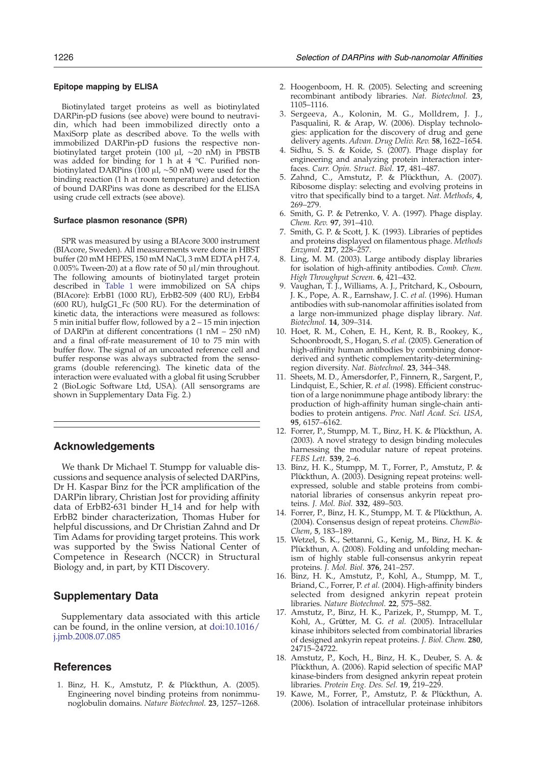## <span id="page-15-0"></span>Epitope mapping by ELISA

Biotinylated target proteins as well as biotinylated DARPin-pD fusions (see above) were bound to neutravidin, which had been immobilized directly onto a MaxiSorp plate as described above. To the wells with immobilized DARPin-pD fusions the respective nonbiotinylated target protein (100 μl, ∼20 nM) in PBSTB was added for binding for 1 h at 4 °C. Purified nonbiotinylated DARPins (100 μl, ∼50 nM) were used for the binding reaction (1 h at room temperature) and detection of bound DARPins was done as described for the ELISA using crude cell extracts (see above).

#### Surface plasmon resonance (SPR)

SPR was measured by using a BIAcore 3000 instrument (BIAcore, Sweden). All measurements were done in HBST buffer (20 mM HEPES, 150 mM NaCl, 3 mM EDTA pH 7.4, 0.005% Tween-20) at a flow rate of 50 μl/min throughout. The following amounts of biotinylated target protein described in [Table 1](#page-3-0) were immobilized on SA chips (BIAcore): ErbB1 (1000 RU), ErbB2-509 (400 RU), ErbB4 (600 RU), huIgG1\_Fc (500 RU). For the determination of kinetic data, the interactions were measured as follows: 5 min initial buffer flow, followed by a 2 – 15 min injection of DARPin at different concentrations (1 nM – 250 nM) and a final off-rate measurement of 10 to 75 min with buffer flow. The signal of an uncoated reference cell and buffer response was always subtracted from the sensograms (double referencing). The kinetic data of the interaction were evaluated with a global fit using Scrubber 2 (BioLogic Software Ltd, USA). (All sensorgrams are shown in Supplementary Data Fig. 2.)

## Acknowledgements

We thank Dr Michael T. Stumpp for valuable discussions and sequence analysis of selected DARPins, Dr H. Kaspar Binz for the PCR amplification of the DARPin library, Christian Jost for providing affinity data of ErbB2-631 binder H\_14 and for help with ErbB2 binder characterization, Thomas Huber for helpful discussions, and Dr Christian Zahnd and Dr Tim Adams for providing target proteins. This work was supported by the Swiss National Center of Competence in Research (NCCR) in Structural Biology and, in part, by KTI Discovery.

## Supplementary Data

Supplementary data associated with this article can be found, in the online version, at doi:10.1016/ j.jmb.2008.07.085

## **References**

1. Binz, H. K., Amstutz, P. & Plückthun, A. (2005). Engineering novel binding proteins from nonimmunoglobulin domains. Nature Biotechnol. 23, 1257–1268.

- 2. Hoogenboom, H. R. (2005). Selecting and screening recombinant antibody libraries. Nat. Biotechnol. 23, 1105–1116.
- 3. Sergeeva, A., Kolonin, M. G., Molldrem, J. J., Pasqualini, R. & Arap, W. (2006). Display technologies: application for the discovery of drug and gene delivery agents. Advan. Drug Deliv. Rev. 58, 1622–1654.
- 4. Sidhu, S. S. & Koide, S. (2007). Phage display for engineering and analyzing protein interaction interfaces. Curr. Opin. Struct. Biol. 17, 481–487.
- 5. Zahnd, C., Amstutz, P. & Plückthun, A. (2007). Ribosome display: selecting and evolving proteins in vitro that specifically bind to a target. Nat. Methods, 4, 269–279.
- 6. Smith, G. P. & Petrenko, V. A. (1997). Phage display. Chem. Rev. 97, 391–410.
- 7. Smith, G. P. & Scott, J. K. (1993). Libraries of peptides and proteins displayed on filamentous phage. Methods Enzymol. 217, 228–257.
- 8. Ling, M. M. (2003). Large antibody display libraries for isolation of high-affinity antibodies. Comb. Chem. High Throughput Screen. 6, 421–432.
- 9. Vaughan, T. J., Williams, A. J., Pritchard, K., Osbourn, J. K., Pope, A. R., Earnshaw, J. C. et al. (1996). Human antibodies with sub-nanomolar affinities isolated from a large non-immunized phage display library. Nat. Biotechnol. 14, 309–314.
- 10. Hoet, R. M., Cohen, E. H., Kent, R. B., Rookey, K., Schoonbroodt, S., Hogan, S. et al. (2005). Generation of high-affinity human antibodies by combining donorderived and synthetic complementarity-determiningregion diversity. Nat. Biotechnol. 23, 344-348.
- 11. Sheets, M. D., Amersdorfer, P., Finnern, R., Sargent, P., Lindquist, E., Schier, R. et al. (1998). Efficient construction of a large nonimmune phage antibody library: the production of high-affinity human single-chain antibodies to protein antigens. Proc. Natl Acad. Sci. USA, 95, 6157–6162.
- 12. Forrer, P., Stumpp, M. T., Binz, H. K. & Plückthun, A. (2003). A novel strategy to design binding molecules harnessing the modular nature of repeat proteins. FEBS Lett. 539, 2–6.
- 13. Binz, H. K., Stumpp, M. T., Forrer, P., Amstutz, P. & Plückthun, A. (2003). Designing repeat proteins: wellexpressed, soluble and stable proteins from combinatorial libraries of consensus ankyrin repeat proteins. J. Mol. Biol. 332, 489–503.
- 14. Forrer, P., Binz, H. K., Stumpp, M. T. & Plückthun, A. (2004). Consensus design of repeat proteins. ChemBio-Chem, 5, 183–189.
- 15. Wetzel, S. K., Settanni, G., Kenig, M., Binz, H. K. & Plückthun, A. (2008). Folding and unfolding mechanism of highly stable full-consensus ankyrin repeat proteins. J. Mol. Biol. 376, 241–257.
- 16. Binz, H. K., Amstutz, P., Kohl, A., Stumpp, M. T., Briand, C., Forrer, P. et al. (2004). High-affinity binders selected from designed ankyrin repeat protein libraries. Nature Biotechnol. 22, 575–582.
- 17. Amstutz, P., Binz, H. K., Parizek, P., Stumpp, M. T., Kohl, A., Grütter, M. G. et al. (2005). Intracellular kinase inhibitors selected from combinatorial libraries of designed ankyrin repeat proteins. J. Biol. Chem. 280, 24715–24722.
- 18. Amstutz, P., Koch, H., Binz, H. K., Deuber, S. A. & Plückthun, A. (2006). Rapid selection of specific MAP kinase-binders from designed ankyrin repeat protein libraries. Protein Eng. Des. Sel. 19, 219–229.
- 19. Kawe, M., Forrer, P., Amstutz, P. & Plückthun, A. (2006). Isolation of intracellular proteinase inhibitors